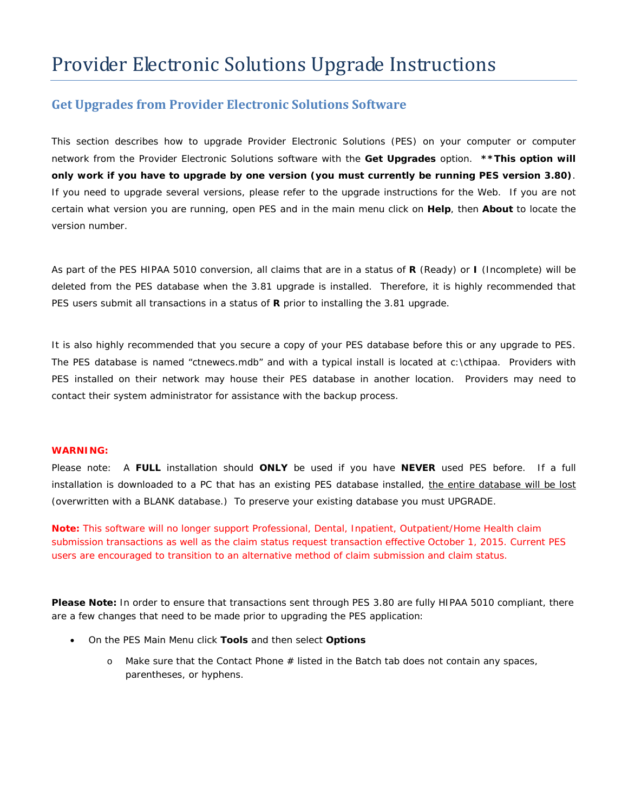# Provider Electronic Solutions Upgrade Instructions

#### **Get Upgrades from Provider Electronic Solutions Software**

This section describes how to upgrade Provider Electronic Solutions (PES) on your computer or computer network from the Provider Electronic Solutions software with the **Get Upgrades** option. **\*\*This option will only work if you have to upgrade by one version (you must currently be running PES version 3.80)**. If you need to upgrade several versions, please refer to the upgrade instructions for the Web. If you are not certain what version you are running, open PES and in the main menu click on **Help**, then **About** to locate the version number.

As part of the PES HIPAA 5010 conversion, all claims that are in a status of **R** (Ready) or **I** (Incomplete) will be deleted from the PES database when the 3.81 upgrade is installed. Therefore, it is highly recommended that PES users submit all transactions in a status of **R** prior to installing the 3.81 upgrade.

It is also highly recommended that you secure a copy of your PES database before this or any upgrade to PES. The PES database is named "ctnewecs.mdb" and with a typical install is located at c:\cthipaa. Providers with PES installed on their network may house their PES database in another location. Providers may need to contact their system administrator for assistance with the backup process.

#### **WARNING:**

Please note: A **FULL** installation should **ONLY** be used if you have **NEVER** used PES before. If a full installation is downloaded to a PC that has an existing PES database installed, the entire database will be lost (overwritten with a BLANK database.) To preserve your existing database you must UPGRADE.

*Note: This software will no longer support Professional, Dental, Inpatient, Outpatient/Home Health claim submission transactions as well as the claim status request transaction effective October 1, 2015. Current PES users are encouraged to transition to an alternative method of claim submission and claim status.*

**Please Note:** In order to ensure that transactions sent through PES 3.80 are fully HIPAA 5010 compliant, there are a few changes that need to be made prior to upgrading the PES application:

- On the PES *Main Menu* click **Tools** and then select **Options**
	- o Make sure that the *Contact Phone #* listed in the *Batch* tab does not contain any spaces, parentheses, or hyphens.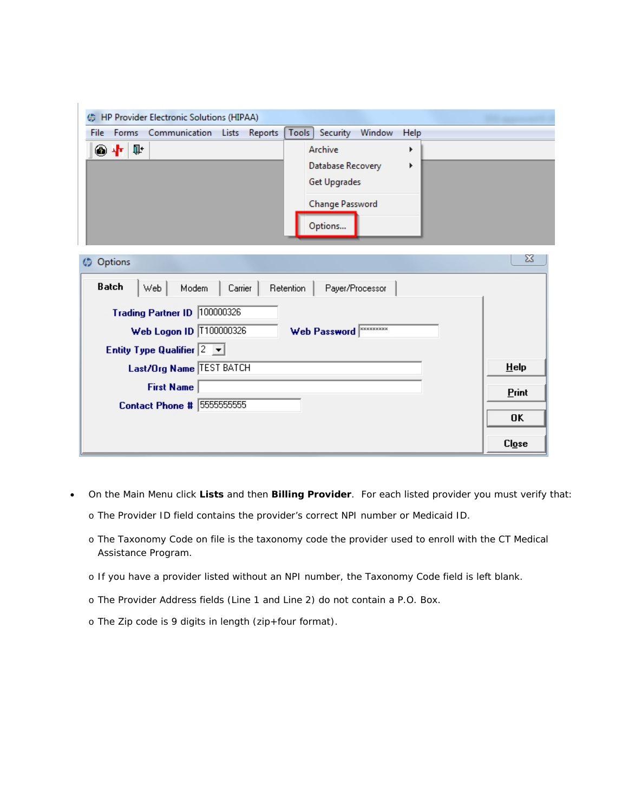

- On the *Main Menu* click **Lists** and then **Billing Provider**. For each listed provider you must verify that:
	- o The *Provider ID* field contains the provider's correct NPI number or Medicaid ID.
	- o The *Taxonomy Code* on file is the taxonomy code the provider used to enroll with the CT Medical Assistance Program.
	- o If you have a provider listed without an NPI number, the *Taxonomy Code* field is left blank.
	- o The *Provider Address* fields (*Line* 1 and *Line* 2) do not contain a P.O. Box.
	- o The *Zip* code is 9 digits in length (zip+four format).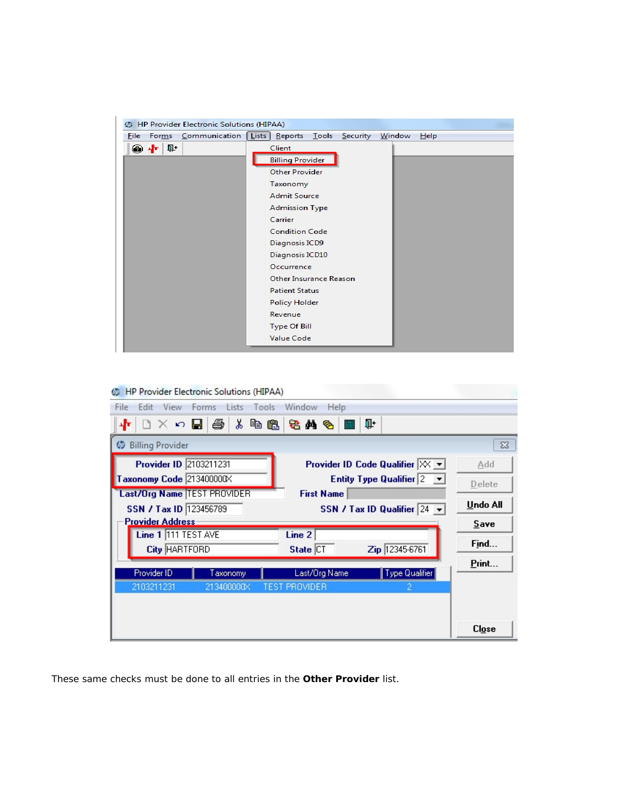| HP Provider Electronic Solutions (HIPAA)<br>硷 |                                                            |
|-----------------------------------------------|------------------------------------------------------------|
| Forms Communication<br><b>File</b>            | Lists<br>Reports<br>Tools<br>Security<br>Window<br>$He$ lp |
| 耻<br>◉∱                                       | Client                                                     |
|                                               | <b>Billing Provider</b>                                    |
|                                               | <b>Other Provider</b>                                      |
|                                               | Taxonomy                                                   |
|                                               | <b>Admit Source</b>                                        |
|                                               | <b>Admission Type</b>                                      |
|                                               | Carrier                                                    |
|                                               | <b>Condition Code</b>                                      |
|                                               | Diagnosis ICD9                                             |
|                                               | Diagnosis ICD10                                            |
|                                               | Occurrence                                                 |
|                                               | Other Insurance Reason                                     |
|                                               | <b>Patient Status</b>                                      |
|                                               | <b>Policy Holder</b>                                       |
|                                               | Revenue                                                    |
|                                               | <b>Type Of Bill</b>                                        |
|                                               | <b>Value Code</b>                                          |
|                                               |                                                            |

| HP Provider Electronic Solutions (HIPAA)<br>œ                                                                                   |              |
|---------------------------------------------------------------------------------------------------------------------------------|--------------|
| Forms<br>Lists<br>Fdit<br>View<br>Tools<br>Window<br>File<br>Help                                                               |              |
| 人生遍<br>Ť.<br>D X r 国  圏 <br>41<br>老前龟<br>扁                                                                                      |              |
| <b>Billing Provider</b><br>ω                                                                                                    | $\Sigma$     |
| Provider ID 2103211231<br>Provider ID Code Qualifier $ \% $                                                                     | Add          |
| Taxonomy Code 213400000X<br>Entity Type Qualifier $ 2 - \blacktriangleright $                                                   | Delete       |
| Last/Org Name TEST PROVIDER<br><b>First Name</b><br>SSN / Tax ID 123456789<br>SSN / Tax ID Qualifier $24$ $\blacktriangleright$ | Undo All     |
| <b>Provider Address-</b>                                                                                                        | Save         |
| Line 1 111 TEST AVE<br>Line 2<br><b>City HARTFORD</b><br>Zip 12345-6761<br>State CT                                             | Find         |
|                                                                                                                                 | Print        |
| Type Qualifier<br>Provider ID<br>Last/Org Name<br>Taxonomy.                                                                     |              |
| 2103211231<br>213400000X<br><b>TEST PROVIDER</b>                                                                                |              |
|                                                                                                                                 |              |
|                                                                                                                                 | <b>Close</b> |

These same checks must be done to all entries in the **Other Provider** list.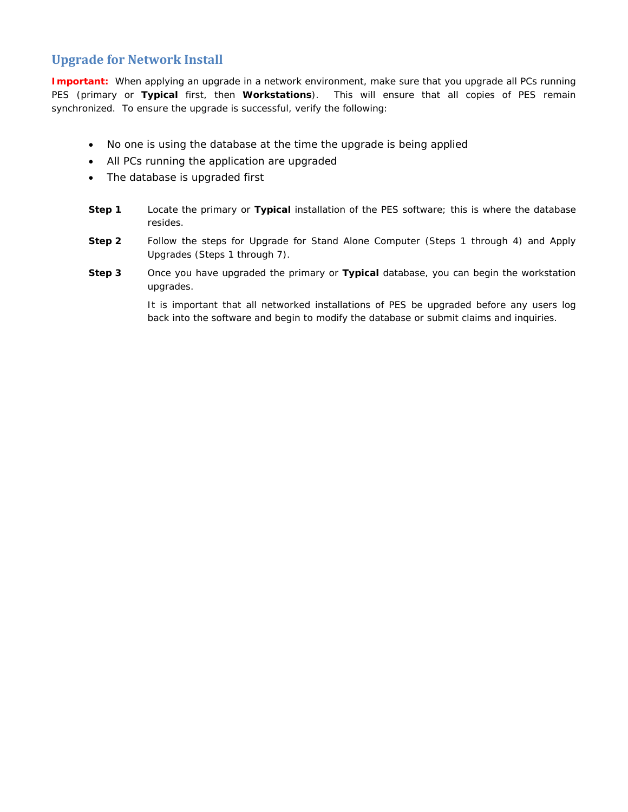# **Upgrade for Network Install**

**Important:** When applying an upgrade in a network environment, make sure that you upgrade all PCs running PES (primary or **Typical** first, then **Workstations**). This will ensure that all copies of PES remain synchronized. To ensure the upgrade is successful, verify the following:

- No one is using the database at the time the upgrade is being applied
- All PCs running the application are upgraded
- The database is upgraded first
- **Step 1** Locate the primary or **Typical** installation of the PES software; this is where the database resides.
- **Step 2** Follow the steps for *Upgrade for Stand Alone Computer* (Steps 1 through 4) and *Apply Upgrades* (Steps 1 through 7).
- **Step 3** Once you have upgraded the primary or **Typical** database, you can begin the workstation upgrades.

It is important that *all* networked installations of PES be upgraded before any users log back into the software and begin to modify the database or submit claims and inquiries.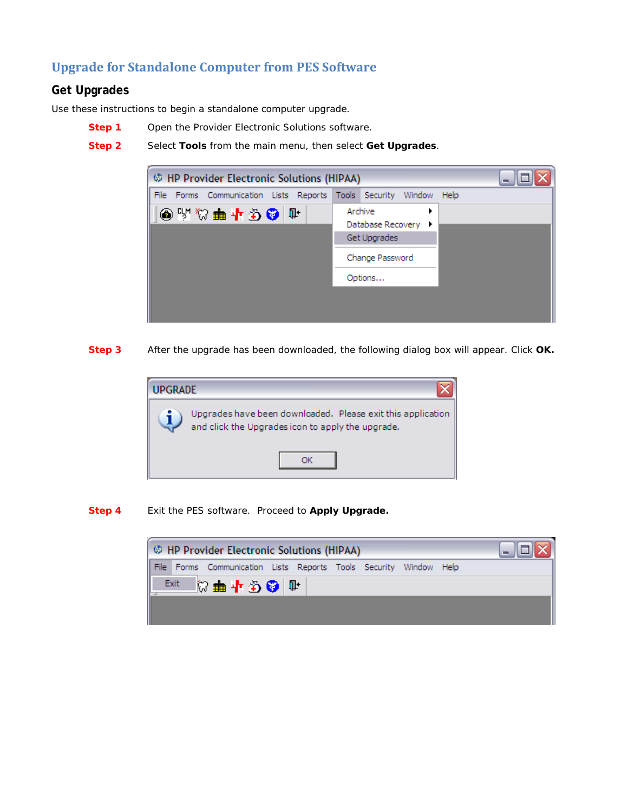# **Upgrade for Standalone Computer from PES Software**

## **Get Upgrades**

Use these instructions to begin a standalone computer upgrade.

- **Step 1** Open the Provider Electronic Solutions software.
- **Step 2** Select **Tools** from the main menu, then select **Get Upgrades**.



**Step 3** After the upgrade has been downloaded, the following dialog box will appear. Click **OK.**



**Step 4** Exit the PES software. Proceed to **Apply Upgrade.**

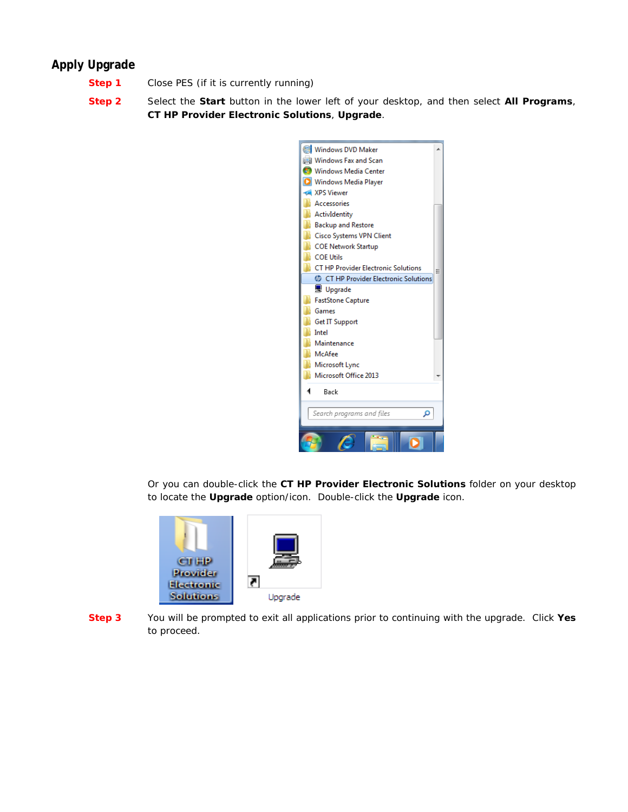## **Apply Upgrade**

- **Step 1** Close PES (if it is currently running)
- **Step 2** Select the **Start** button in the lower left of your desktop, and then select **All Programs**, **CT HP Provider Electronic Solutions**, **Upgrade**.



Or you can double-click the **CT HP Provider Electronic Solutions** folder on your desktop to locate the **Upgrade** option/icon. Double-click the **Upgrade** icon.



**Step 3** You will be prompted to exit all applications prior to continuing with the upgrade. Click **Yes**  to proceed.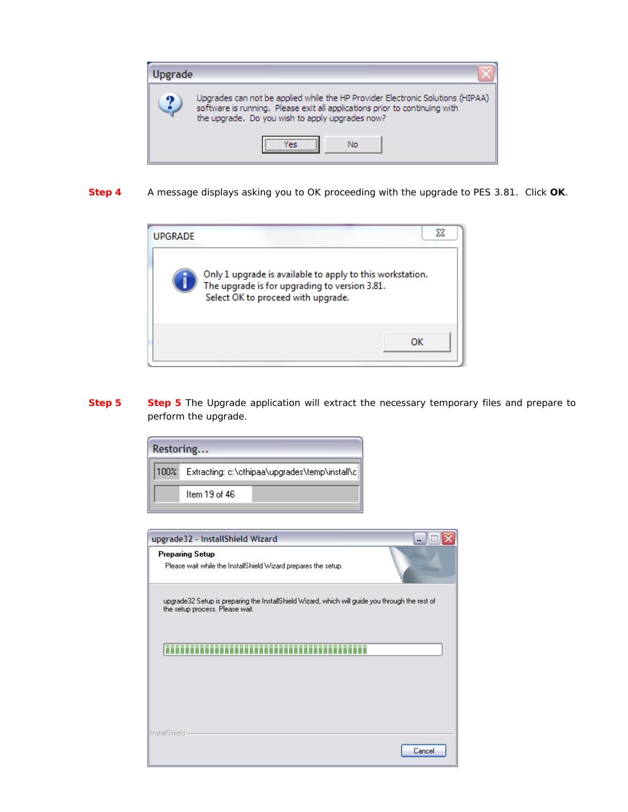

**Step 4** A message displays asking you to OK proceeding with the upgrade to PES 3.81. Click **OK**.



**Step 5 Step 5** The *Upgrade* application will extract the necessary temporary files and prepare to perform the upgrade.

| Restoring |                                                |  |  |  |
|-----------|------------------------------------------------|--|--|--|
| 100%      | Extracting: c:\cthipaa\upgrades\temp\install\c |  |  |  |
|           | Item 19 of 46                                  |  |  |  |
|           |                                                |  |  |  |

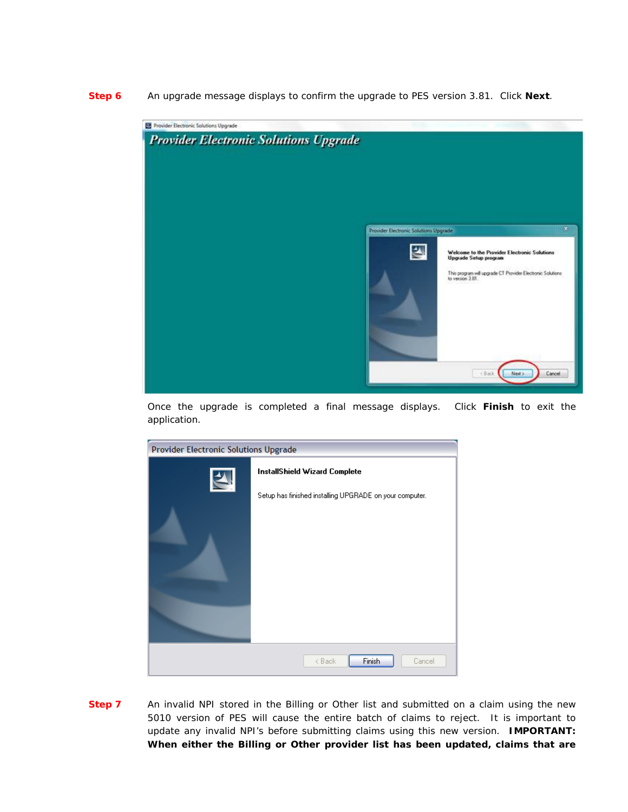**Step 6** An upgrade message displays to confirm the upgrade to PES version 3.81. Click **Next**.



Once the upgrade is completed a final message displays. Click **Finish** to exit the application.

| <b>Provider Electronic Solutions Upgrade</b> |                                                                                          |  |
|----------------------------------------------|------------------------------------------------------------------------------------------|--|
|                                              | InstallShield Wizard Complete<br>Setup has finished installing UPGRADE on your computer. |  |
|                                              | Finish<br>< Back<br>Cancel                                                               |  |

**Step 7** An invalid NPI stored in the Billing or Other list and submitted on a claim using the new 5010 version of PES will cause the entire batch of claims to reject. It is important to update any invalid NPI's before submitting claims using this new version. **IMPORTANT: When either the Billing or Other provider list has been updated, claims that are**